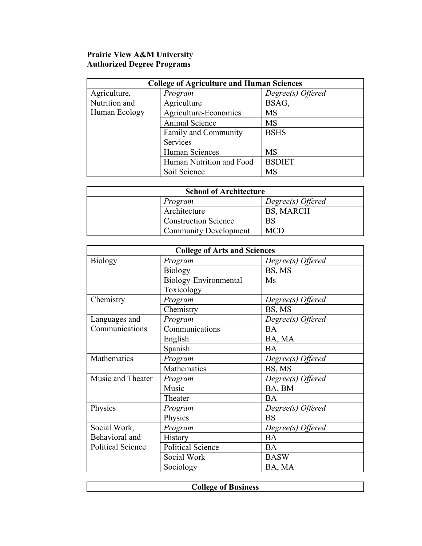## **Prairie View A&M University Authorized Degree Programs**

| <b>College of Agriculture and Human Sciences</b> |                          |                   |
|--------------------------------------------------|--------------------------|-------------------|
| Agriculture,                                     | Program                  | Degree(s) Offered |
| Nutrition and                                    | Agriculture              | BSAG,             |
| Human Ecology                                    | Agriculture-Economics    | <b>MS</b>         |
|                                                  | Animal Science           | <b>MS</b>         |
|                                                  | Family and Community     | <b>BSHS</b>       |
|                                                  | Services                 |                   |
|                                                  | Human Sciences           | <b>MS</b>         |
|                                                  | Human Nutrition and Food | <b>BSDIET</b>     |
|                                                  | Soil Science             | MS                |

| <b>School of Architecture</b> |                              |                   |
|-------------------------------|------------------------------|-------------------|
|                               | Program                      | Degree(s) Offered |
|                               | Architecture                 | BS, MARCH         |
|                               | <b>Construction Science</b>  | BS                |
|                               | <b>Community Development</b> | MC T              |

| <b>College of Arts and Sciences</b> |                       |                   |
|-------------------------------------|-----------------------|-------------------|
| <b>Biology</b>                      | Program               | Degree(s) Offered |
|                                     | <b>Biology</b>        | BS, MS            |
|                                     | Biology-Environmental | Ms                |
|                                     | Toxicology            |                   |
| Chemistry                           | Program               | Degree(s) Offered |
|                                     | Chemistry             | BS, MS            |
| Languages and                       | Program               | Degree(s) Offered |
| Communications                      | Communications        | <b>BA</b>         |
|                                     | English               | BA, MA            |
|                                     | Spanish               | <b>BA</b>         |
| Mathematics                         | Program               | Degree(s) Offered |
|                                     | Mathematics           | BS, MS            |
| Music and Theater                   | Program               | Degree(s) Offered |
|                                     | Music                 | BA, BM            |
|                                     | Theater               | <b>BA</b>         |
| Physics                             | Program               | Degree(s) Offered |
|                                     | Physics               | <b>BS</b>         |
| Social Work,                        | Program               | Degree(s) Offered |
| Behavioral and                      | History               | <b>BA</b>         |
| <b>Political Science</b>            | Political Science     | <b>BA</b>         |
|                                     | Social Work           | <b>BASW</b>       |
|                                     | Sociology             | BA, MA            |

| п<br><b>Business</b><br>$\sim$<br>$^{\rm{O}}$ |
|-----------------------------------------------|
|                                               |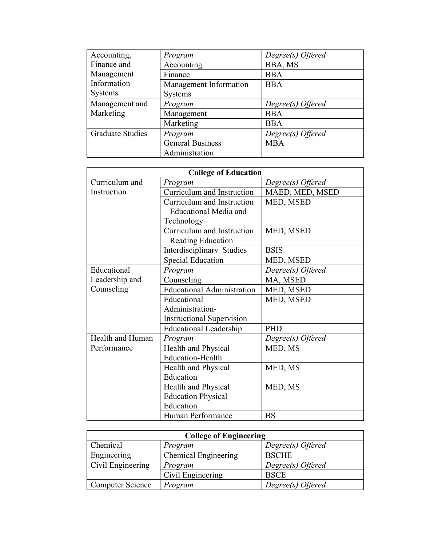| Accounting,             | Program                 | Degree(s) Offered |
|-------------------------|-------------------------|-------------------|
| Finance and             | Accounting              | BBA, MS           |
| Management              | Finance                 | <b>BBA</b>        |
| Information             | Management Information  | <b>BBA</b>        |
| <b>Systems</b>          | <b>Systems</b>          |                   |
| Management and          | Program                 | Degree(s) Offered |
| Marketing               | Management              | <b>BBA</b>        |
|                         | Marketing               | <b>BBA</b>        |
| <b>Graduate Studies</b> | Program                 | Degree(s) Offered |
|                         | <b>General Business</b> | <b>MBA</b>        |
|                         | Administration          |                   |

| <b>College of Education</b> |                                   |                   |
|-----------------------------|-----------------------------------|-------------------|
| Curriculum and              | Program                           | Degree(s) Offered |
| Instruction                 | Curriculum and Instruction        | MAED, MED, MSED   |
|                             | Curriculum and Instruction        | MED, MSED         |
|                             | - Educational Media and           |                   |
|                             | Technology                        |                   |
|                             | Curriculum and Instruction        | MED, MSED         |
|                             | - Reading Education               |                   |
|                             | Interdisciplinary Studies         | <b>BSIS</b>       |
|                             | <b>Special Education</b>          | MED, MSED         |
| Educational                 | Program                           | Degree(s) Offered |
| Leadership and              | Counseling                        | MA, MSED          |
| Counseling                  | <b>Educational Administration</b> | MED, MSED         |
|                             | Educational                       | MED, MSED         |
|                             | Administration-                   |                   |
|                             | <b>Instructional Supervision</b>  |                   |
|                             | <b>Educational Leadership</b>     | <b>PHD</b>        |
| Health and Human            | Program                           | Degree(s) Offered |
| Performance                 | <b>Health and Physical</b>        | MED, MS           |
|                             | <b>Education-Health</b>           |                   |
|                             | Health and Physical               | MED, MS           |
|                             | Education                         |                   |
|                             | Health and Physical               | MED, MS           |
|                             | <b>Education Physical</b>         |                   |
|                             | Education                         |                   |
|                             | Human Performance                 | <b>BS</b>         |

| <b>College of Engineering</b> |                      |                   |
|-------------------------------|----------------------|-------------------|
| Chemical                      | Program              | Degree(s) Offered |
| Engineering                   | Chemical Engineering | <b>BSCHE</b>      |
| Civil Engineering             | Program              | Degree(s) Offered |
|                               | Civil Engineering    | <b>BSCE</b>       |
| <b>Computer Science</b>       | Program              | Degree(s) Offered |